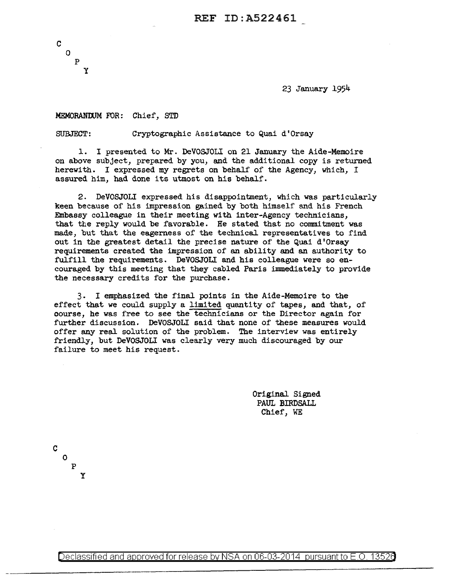23 January 1954

### MEMORANDUM FOR: Chief, STD

SUBJECT: Cryptographic Assistance to Quai d'Orsay

1. I presented to Mr. DeVOSJOLI on 21 January the Aide-Memoire on above subject, prepared by you, and the additional copy is returned herewith. I expressed my regrets on behalf of the Agency, which, I assured him, had done its utmost on his behalf.

2. DeVOSJOLI expressed his disappointment, which was particularly keen because of his impression gained by both himself and his French Embassy colleague in their meeting with inter-Agency technicians, that the reply would be favorable. He stated that no commitment was made, but that the eagerness of the technical representatives to find out in the greatest detail the precise nature of the Quai d'Orsay requirements created the impression of an ability and an authority to fulfill the requirements. DeVOSJOLI and his colleague were so encouraged by this meeting that they cabled Paris immediately to provide the necessary credits for the purchase.

3. I emphasized the final points in the Aide-Memoire to the effect that we could supply a limited quantity of tapes, and that, of course, he was free to see the technicians or the Director again for further discussion. DeVOSJOLI said that none of these measures would offer any real solution of the problem. The interview was entirely friendly, but DeVOSJOLI was clearly very much discouraged by our failure to meet his request.

> Original Signed PAUL BIRDSALL Chief, WE

c 0

> p y

Declassified and approved for release by NSA on 06-03-2014 pursuantto E.O. 1352a

c

0 p y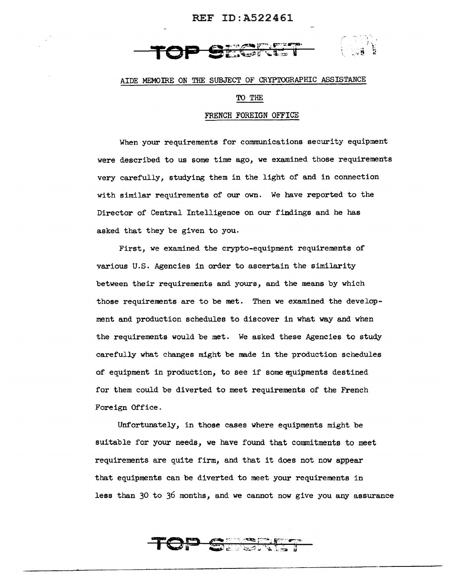## REF ID:A522461



## AIDE MEMOIRE ON THE SUBJECT OF CRYPTOGRAPHIC ASSISTANCE

### TO THE

## FRENCH FOREIGN OFFICE

When your requirements for communications security equipment were described to us some time ago, we examined those requirements very carefully, studying them in the light of and in connection with similar requirements of our own. We have reported to the Director of Central Intelligence on our findings and he has asked that they be given to you.

First, *we* examined the crypto-equipment requirements of various U.S. Agencies in order to ascertain the similarity between their requirements and yours, and the means by which those requirements are to be met. Then we examined the development and production schedules to discover in what way and when the requirements would be met. We asked these Agencies to study carefully what changes might be made in the production schedules of equipment in production, to see if some equipments destined for them could be diverted to meet requirements of the French Foreign Office.

Unfortunately, in those cases where equipments might be suitable for your needs, we have found that commitments to meet requirements are quite firm, and that it does not now appear that equipments can be diverted to meet your requirements in less than 30 to 36 months, and we cannot now give you any assurance

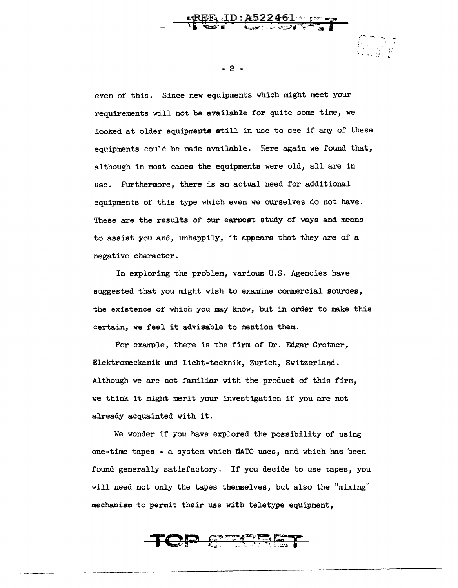even of this. Since new equipments which might meet your requirements will not be available for quite some time, we looked at older equipments still in use to see if any of these equipments could be made available. Here again we found that, although in most cases the equipments were old, all are in use. Furthermore, there is an actual need for additional equipments of this type which even we ourselves do not have. These are the results of our earnest study of ways and means to assist you and, unhappily, it appears that they are of a negative character.

In exploring the problem, various U.S. Agencies have suggested that you might wish to examine commercial sources, the existence of which you may know, but in order to make this certain, we feel it advisable to mention them.

For example, there is the firm of Dr. Edgar Gretner, Elektromeckanik und Licht-tecknik, Zurich, Switzerland. Although we are not familiar with the product of this firm, we think it might merit your investigation if you are not already acquainted with it.

We wonder if you have explored the possibility of using one-time tapes - a system which NATO uses, and which has been found generally satisfactory. If you decide to use tapes, you will need not only the tapes themselves, but also the "mixing" mechanism to permit their use with teletype equipment,



- 2 -

*COM*